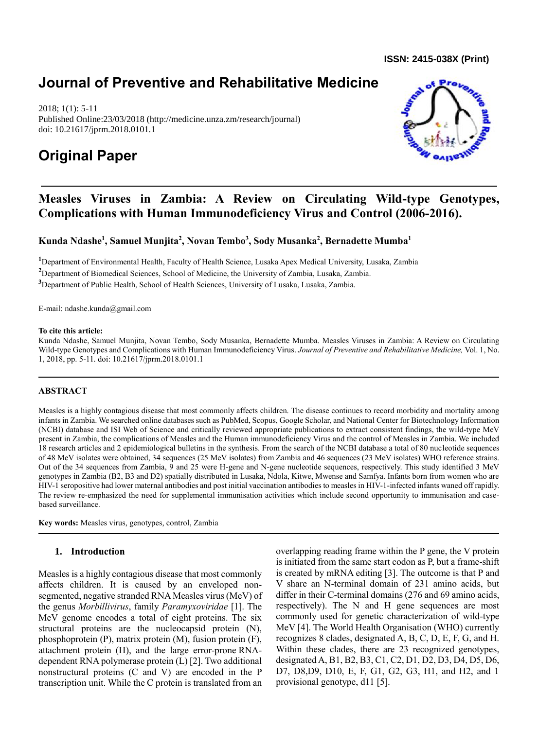**ISSN: 2415-038X (Print)** 

## **Journal of Preventive and Rehabilitative Medicine**

2018; 1(1): 5-11 Published Online:23/03/2018 (http://medicine.unza.zm/research/journal) doi: 10.21617/jprm.2018.0101.1

# **Original Paper**



### **Measles Viruses in Zambia: A Review on Circulating Wild-type Genotypes, Complications with Human Immunodeficiency Virus and Control (2006-2016).**

**Kunda Ndashe<sup>1</sup> , Samuel Munjita<sup>2</sup> , Novan Tembo<sup>3</sup> , Sody Musanka<sup>2</sup> , Bernadette Mumba<sup>1</sup>**

**<sup>1</sup>**Department of Environmental Health, Faculty of Health Science, Lusaka Apex Medical University, Lusaka, Zambia **<sup>2</sup>**Department of Biomedical Sciences, School of Medicine, the University of Zambia, Lusaka, Zambia.

**<sup>3</sup>**Department of Public Health, School of Health Sciences, University of Lusaka, Lusaka, Zambia.

E-mail: [ndashe.kunda@gmail.com](mailto:ndashe.kunda@gmail.com)

#### **To cite this article:**

Kunda Ndashe, Samuel Munjita, Novan Tembo, Sody Musanka, Bernadette Mumba. Measles Viruses in Zambia: A Review on Circulating Wild-type Genotypes and Complications with Human Immunodeficiency Virus. *Journal of Preventive and Rehabilitative Medicine,* Vol. 1, No. 1, 2018, pp. 5-11. doi: 10.21617/jprm.2018.0101.1

### **ABSTRACT**

Measles is a highly contagious disease that most commonly affects children. The disease continues to record morbidity and mortality among infants in Zambia. We searched online databases such as PubMed, Scopus, Google Scholar, and National Center for Biotechnology Information (NCBI) database and ISI Web of Science and critically reviewed appropriate publications to extract consistent findings, the wild-type MeV present in Zambia, the complications of Measles and the Human immunodeficiency Virus and the control of Measles in Zambia. We included 18 research articles and 2 epidemiological bulletins in the synthesis. From the search of the NCBI database a total of 80 nucleotide sequences of 48 MeV isolates were obtained, 34 sequences (25 MeV isolates) from Zambia and 46 sequences (23 MeV isolates) WHO reference strains. Out of the 34 sequences from Zambia, 9 and 25 were H-gene and N-gene nucleotide sequences, respectively. This study identified 3 MeV genotypes in Zambia (B2, B3 and D2) spatially distributed in Lusaka, Ndola, Kitwe, Mwense and Samfya. Infants born from women who are HIV-1 seropositive had lower maternal antibodies and post initial vaccination antibodies to measles in HIV-1-infected infants waned off rapidly. The review re-emphasized the need for supplemental immunisation activities which include second opportunity to immunisation and casebased surveillance.

**Key words:** Measles virus, genotypes, control, Zambia

### **1. Introduction**

Measles is a highly contagious disease that most commonly affects children. It is caused by an enveloped nonsegmented, negative stranded RNA Measles virus (MeV) of the genus *Morbillivirus*, family *Paramyxoviridae* [1]. The MeV genome encodes a total of eight proteins. The six structural proteins are the nucleocapsid protein (N), phosphoprotein (P), matrix protein (M), fusion protein (F), attachment protein (H), and the large error-prone RNAdependent RNA polymerase protein (L) [2]. Two additional nonstructural proteins (C and V) are encoded in the P transcription unit. While the C protein is translated from an overlapping reading frame within the P gene, the V protein is initiated from the same start codon as P, but a frame-shift is created by mRNA editing [3]. The outcome is that P and V share an N-terminal domain of 231 amino acids, but differ in their C-terminal domains (276 and 69 amino acids, respectively). The N and H gene sequences are most commonly used for genetic characterization of wild-type MeV [4]. The World Health Organisation (WHO) currently recognizes 8 clades, designated A, B, C, D, E, F, G, and H. Within these clades, there are 23 recognized genotypes, designated A, B1, B2, B3, C1, C2, D1, D2, D3, D4, D5, D6, D7, D8,D9, D10, E, F, G1, G2, G3, H1, and H2, and 1 provisional genotype, d11 [5].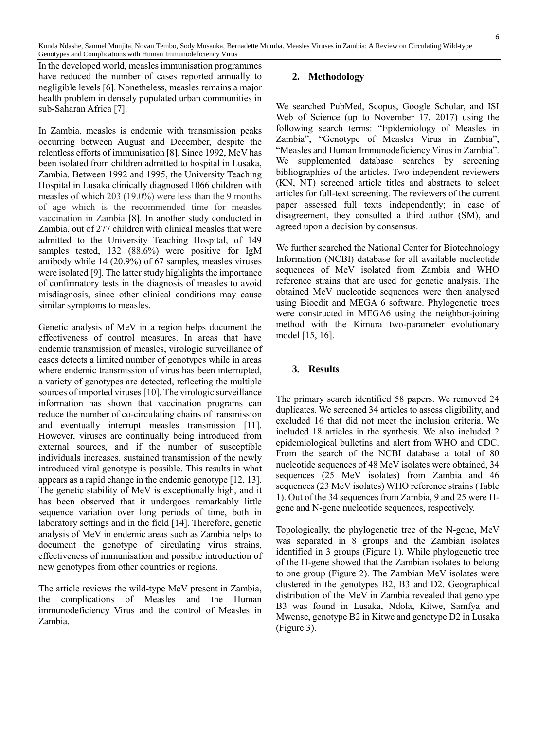Kunda Ndashe, Samuel Munjita, Novan Tembo, Sody Musanka, Bernadette Mumba. Measles Viruses in Zambia: A Review on Circulating Wild-type Genotypes and Complications with Human Immunodeficiency Virus

In the developed world, measles immunisation programmes have reduced the number of cases reported annually to negligible levels [6]. Nonetheless, measles remains a major health problem in densely populated urban communities in sub-Saharan Africa [7].

In Zambia, measles is endemic with transmission peaks occurring between August and December, despite the relentless efforts of immunisation [8]. Since 1992, MeV has been isolated from children admitted to hospital in Lusaka, Zambia. Between 1992 and 1995, the University Teaching Hospital in Lusaka clinically diagnosed 1066 children with measles of which 203 (19.0%) were less than the 9 months of age which is the recommended time for measles vaccination in Zambia [8]. In another study conducted in Zambia, out of 277 children with clinical measles that were admitted to the University Teaching Hospital, of 149 samples tested, 132 (88.6%) were positive for IgM antibody while 14 (20.9%) of 67 samples, measles viruses were isolated [9]. The latter study highlights the importance of confirmatory tests in the diagnosis of measles to avoid misdiagnosis, since other clinical conditions may cause similar symptoms to measles.

Genetic analysis of MeV in a region helps document the effectiveness of control measures. In areas that have endemic transmission of measles, virologic surveillance of cases detects a limited number of genotypes while in areas where endemic transmission of virus has been interrupted, a variety of genotypes are detected, reflecting the multiple sources of imported viruses [10]. The virologic surveillance information has shown that vaccination programs can reduce the number of co-circulating chains of transmission and eventually interrupt measles transmission [11]. However, viruses are continually being introduced from external sources, and if the number of susceptible individuals increases, sustained transmission of the newly introduced viral genotype is possible. This results in what appears as a rapid change in the endemic genotype [12, 13]. The genetic stability of MeV is exceptionally high, and it has been observed that it undergoes remarkably little sequence variation over long periods of time, both in laboratory settings and in the field [14]. Therefore, genetic analysis of MeV in endemic areas such as Zambia helps to document the genotype of circulating virus strains, effectiveness of immunisation and possible introduction of new genotypes from other countries or regions.

The article reviews the wild-type MeV present in Zambia, the complications of Measles and the Human immunodeficiency Virus and the control of Measles in Zambia.

#### **2. Methodology**

We searched PubMed, Scopus, Google Scholar, and ISI Web of Science (up to November 17, 2017) using the following search terms: "Epidemiology of Measles in Zambia", "Genotype of Measles Virus in Zambia", "Measles and Human Immunodeficiency Virus in Zambia". We supplemented database searches by screening bibliographies of the articles. Two independent reviewers (KN, NT) screened article titles and abstracts to select articles for full-text screening. The reviewers of the current paper assessed full texts independently; in case of disagreement, they consulted a third author (SM), and agreed upon a decision by consensus.

We further searched the National Center for Biotechnology Information (NCBI) database for all available nucleotide sequences of MeV isolated from Zambia and WHO reference strains that are used for genetic analysis. The obtained MeV nucleotide sequences were then analysed using Bioedit and MEGA 6 software. Phylogenetic trees were constructed in MEGA6 using the neighbor-joining method with the Kimura two-parameter evolutionary model [15, 16].

#### **3. Results**

The primary search identified 58 papers. We removed 24 duplicates. We screened 34 articles to assess eligibility, and excluded 16 that did not meet the inclusion criteria. We included 18 articles in the synthesis. We also included 2 epidemiological bulletins and alert from WHO and CDC. From the search of the NCBI database a total of 80 nucleotide sequences of 48 MeV isolates were obtained, 34 sequences (25 MeV isolates) from Zambia and 46 sequences (23 MeV isolates) WHO reference strains (Table 1). Out of the 34 sequences from Zambia, 9 and 25 were Hgene and N-gene nucleotide sequences, respectively.

Topologically, the phylogenetic tree of the N-gene, MeV was separated in 8 groups and the Zambian isolates identified in 3 groups (Figure 1). While phylogenetic tree of the H-gene showed that the Zambian isolates to belong to one group (Figure 2). The Zambian MeV isolates were clustered in the genotypes B2, B3 and D2. Geographical distribution of the MeV in Zambia revealed that genotype B3 was found in Lusaka, Ndola, Kitwe, Samfya and Mwense, genotype B2 in Kitwe and genotype D2 in Lusaka (Figure 3).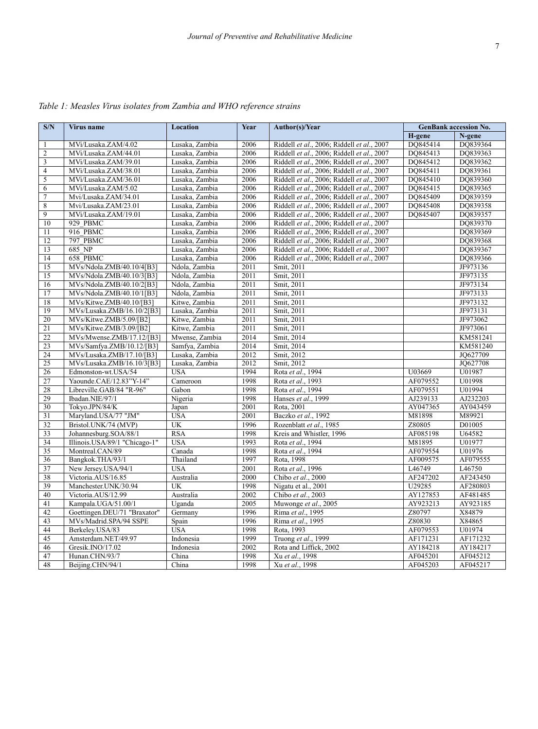| S/N             | Virus name                    | Location       | Year | Author(s)/Year                             | <b>GenBank accession No.</b> |          |
|-----------------|-------------------------------|----------------|------|--------------------------------------------|------------------------------|----------|
|                 |                               |                |      |                                            | H-gene                       | N-gene   |
| 1               | MVi/Lusaka.ZAM/4.02           | Lusaka, Zambia | 2006 | Riddell et al., 2006; Riddell et al., 2007 | DO845414                     | DO839364 |
| $\overline{c}$  | MVi/Lusaka.ZAM/44.01          | Lusaka, Zambia | 2006 | Riddell et al., 2006; Riddell et al., 2007 | DQ845413                     | DQ839363 |
| $\mathfrak z$   | MVi/Lusaka.ZAM/39.01          | Lusaka, Zambia | 2006 | Riddell et al., 2006; Riddell et al., 2007 | DO845412                     | DQ839362 |
| $\overline{4}$  | MVi/Lusaka.ZAM/38.01          | Lusaka, Zambia | 2006 | Riddell et al., 2006; Riddell et al., 2007 | DO845411                     | DQ839361 |
| 5               | MVi/Lusaka.ZAM/36.01          | Lusaka, Zambia | 2006 | Riddell et al., 2006; Riddell et al., 2007 | DO845410                     | DQ839360 |
| 6               | MVi/Lusaka.ZAM/5.02           | Lusaka, Zambia | 2006 | Riddell et al., 2006; Riddell et al., 2007 | DO845415                     | DQ839365 |
| $\tau$          | Mvi/Lusaka.ZAM/34.01          | Lusaka, Zambia | 2006 | Riddell et al., 2006; Riddell et al., 2007 | DO845409                     | DQ839359 |
| $\overline{8}$  | Mvi/Lusaka.ZAM/23.01          | Lusaka, Zambia | 2006 | Riddell et al., 2006; Riddell et al., 2007 | DO845408                     | DO839358 |
| $\overline{9}$  | MVi/Lusaka.ZAM/19.01          | Lusaka, Zambia | 2006 | Riddell et al., 2006; Riddell et al., 2007 | DQ845407                     | DQ839357 |
| 10              | 929 PBMC                      | Lusaka, Zambia | 2006 | Riddell et al., 2006; Riddell et al., 2007 |                              | DQ839370 |
| 11              | 916 PBMC                      | Lusaka, Zambia | 2006 | Riddell et al., 2006; Riddell et al., 2007 |                              | DQ839369 |
| 12              | 797 PBMC                      | Lusaka, Zambia | 2006 | Riddell et al., 2006; Riddell et al., 2007 |                              | DQ839368 |
| 13              | 685 NP                        | Lusaka, Zambia | 2006 | Riddell et al., 2006; Riddell et al., 2007 |                              | DQ839367 |
| 14              | 658 PBMC                      | Lusaka, Zambia | 2006 | Riddell et al., 2006; Riddell et al., 2007 |                              | DQ839366 |
| 15              | MVs/Ndola.ZMB/40.10/4[B3]     | Ndola, Zambia  | 2011 | Smit, 2011                                 |                              | JF973136 |
| 15              | MVs/Ndola.ZMB/40.10/3[B3]     | Ndola, Zambia  | 2011 | Smit, 2011                                 |                              | JF973135 |
| 16              | MVs/Ndola.ZMB/40.10/2[B3]     | Ndola, Zambia  | 2011 | Smit, 2011                                 |                              | JF973134 |
| 17              | MVs/Ndola.ZMB/40.10/1[B3]     | Ndola, Zambia  | 2011 | Smit, 2011                                 |                              | JF973133 |
| 18              | MVs/Kitwe.ZMB/40.10/[B3]      | Kitwe, Zambia  | 2011 | Smit, 2011                                 |                              | JF973132 |
| 19              | MVs/Lusaka.ZMB/16.10/2[B3]    | Lusaka, Zambia | 2011 | Smit, 2011                                 |                              | JF973131 |
| 20              | MVs/Kitwe.ZMB/5.09/[B2]       | Kitwe, Zambia  | 2011 | Smit, 2011                                 |                              | JF973062 |
| 21              | MVs/Kitwe.ZMB/3.09/[B2]       | Kitwe, Zambia  | 2011 | Smit, 2011                                 |                              | JF973061 |
| 22              | MVs/Mwense.ZMB/17.12/[B3]     | Mwense, Zambia | 2014 | Smit, 2014                                 |                              | KM581241 |
| 23              | MVs/Samfya.ZMB/10.12/[B3]     | Samfya, Zambia | 2014 | Smit, 2014                                 |                              | KM581240 |
| 24              | MVs/Lusaka.ZMB/17.10/[B3]     | Lusaka, Zambia | 2012 | Smit, 2012                                 |                              | JO627709 |
| 25              | MVs/Lusaka.ZMB/16.10/3[B3]    | Lusaka, Zambia | 2012 | Smit, 2012                                 |                              | JO627708 |
| 26              | Edmonston-wt.USA/54           | <b>USA</b>     | 1994 | Rota et al., 1994                          | U03669                       | U01987   |
| 27              | Yaounde.CAE/12.83"Y-14"       | Cameroon       | 1998 | Rota et al., 1993                          | AF079552                     | U01998   |
| 28              | Libreville.GAB/84 "R-96"      | Gabon          | 1998 | Rota et al., 1994                          | AF079551                     | U01994   |
| 29              | Ibadan.NIE/97/1               | Nigeria        | 1998 | Hanses et al., 1999                        | AJ239133                     | AJ232203 |
| 30              | Tokyo.JPN/84/K                | Japan          | 2001 | Rota, 2001                                 | AY047365                     | AY043459 |
| 31              | Maryland.USA/77 "JM"          | <b>USA</b>     | 2001 | Baczko et al., 1992                        | M81898                       | M89921   |
| 32              | Bristol.UNK/74 (MVP)          | UK             | 1996 | Rozenblatt et al., 1985                    | Z80805                       | D01005   |
| 33              | Johannesburg.SOA/88/1         | <b>RSA</b>     | 1998 | Kreis and Whistler, 1996                   | AF085198                     | U64582   |
| 34              | Illinois.USA/89/1 "Chicago-1" | <b>USA</b>     | 1993 | Rota et al., 1994                          | M81895                       | U01977   |
| $\overline{35}$ | Montreal.CAN/89               | Canada         | 1998 | Rota et al., 1994                          | AF079554                     | U01976   |
| 36              | Bangkok.THA/93/1              | Thailand       | 1997 | Rota, 1998                                 | AF009575                     | AF079555 |
| 37              | New Jersey.USA/94/1           | <b>USA</b>     | 2001 | Rota et al., 1996                          | L46749                       | L46750   |
| 38              | Victoria.AUS/16.85            | Australia      | 2000 | Chibo et al., 2000                         | AF247202                     | AF243450 |
| 39              | Manchester.UNK/30.94          | <b>UK</b>      | 1998 | Nigatu et al., 2001                        | U29285                       | AF280803 |
| 40              | Victoria.AUS/12.99            | Australia      | 2002 | Chibo et al., 2003                         | AY127853                     | AF481485 |
| 41              | Kampala.UGA/51.00/1           | Uganda         | 2005 | Muwonge et al., 2005                       | AY923213                     | AY923185 |
| 42              | Goettingen.DEU/71 "Braxator"  | Germany        | 1996 | Rima et al., 1995                          | Z80797                       | X84879   |
| 43              | MVs/Madrid.SPA/94 SSPE        | Spain          | 1996 | Rima et al., 1995                          | Z80830                       | X84865   |
| 44              | Berkeley.USA/83               | <b>USA</b>     | 1998 | Rota, 1993                                 | AF079553                     | U01974   |
| 45              | Amsterdam.NET/49.97           | Indonesia      | 1999 | Truong et al., 1999                        | AF171231                     | AF171232 |
| 46              | Gresik.INO/17.02              | Indonesia      | 2002 | Rota and Liffick, 2002                     | AY184218                     | AY184217 |
| 47              | Hunan.CHN/93/7                | China          | 1998 | Xu et al., 1998                            | AF045201                     | AF045212 |
| 48              | Beijing.CHN/94/1              | China          | 1998 | Xu et al., 1998                            | AF045203                     | AF045217 |

*Table 1: Measles Virus isolates from Zambia and WHO reference strains*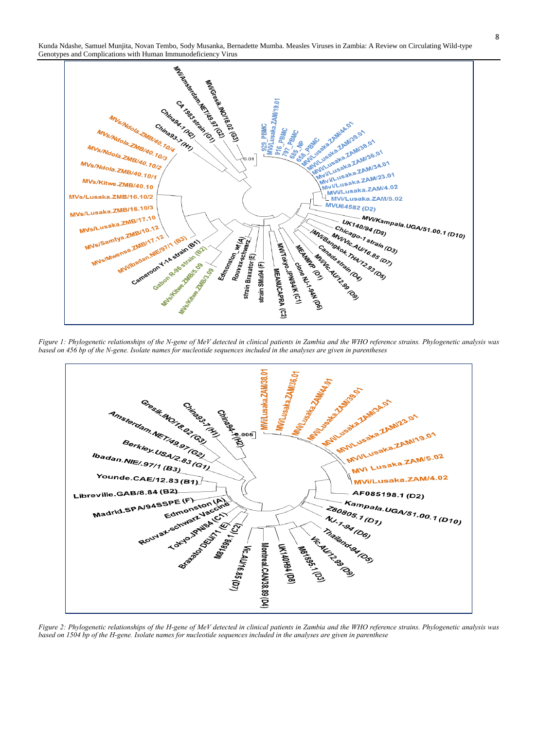Kunda Ndashe, Samuel Munjita, Novan Tembo, Sody Musanka, Bernadette Mumba. Measles Viruses in Zambia: A Review on Circulating Wild-type



*Figure 1: Phylogenetic relationships of the N-gene of MeV detected in clinical patients in Zambia and the WHO reference strains. Phylogenetic analysis was based on 456 bp of the N-gene. Isolate names for nucleotide sequences included in the analyses are given in parentheses*



*Figure 2: Phylogenetic relationships of the H-gene of MeV detected in clinical patients in Zambia and the WHO reference strains. Phylogenetic analysis was based on 1504 bp of the H-gene. Isolate names for nucleotide sequences included in the analyses are given in parenthese*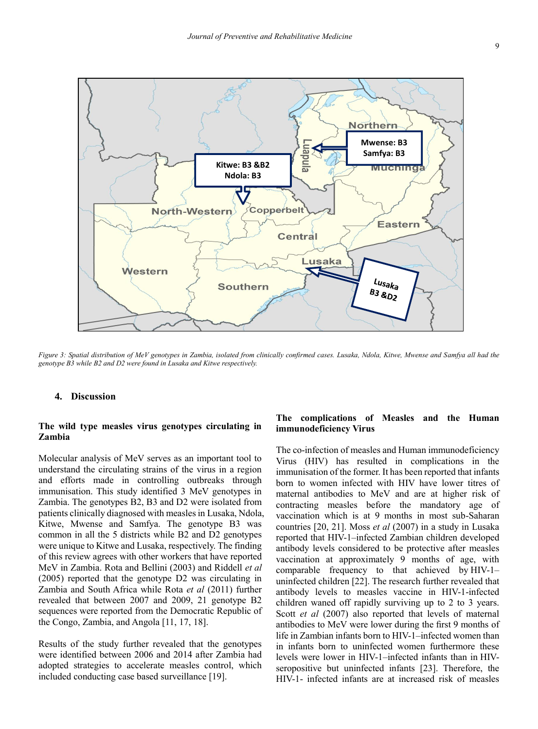

*Figure 3: Spatial distribution of MeV genotypes in Zambia, isolated from clinically confirmed cases. Lusaka, Ndola, Kitwe, Mwense and Samfya all had the genotype B3 while B2 and D2 were found in Lusaka and Kitwe respectively.* 

#### **4. Discussion**

#### **The wild type measles virus genotypes circulating in Zambia**

Molecular analysis of MeV serves as an important tool to understand the circulating strains of the virus in a region and efforts made in controlling outbreaks through immunisation. This study identified 3 MeV genotypes in Zambia. The genotypes B2, B3 and D2 were isolated from patients clinically diagnosed with measles in Lusaka, Ndola, Kitwe, Mwense and Samfya. The genotype B3 was common in all the 5 districts while B2 and D2 genotypes were unique to Kitwe and Lusaka, respectively. The finding of this review agrees with other workers that have reported MeV in Zambia. Rota and Bellini (2003) and Riddell *et al* (2005) reported that the genotype D2 was circulating in Zambia and South Africa while Rota *et al* (2011) further revealed that between 2007 and 2009, 21 genotype B2 sequences were reported from the Democratic Republic of the Congo, Zambia, and Angola [11, 17, 18].

Results of the study further revealed that the genotypes were identified between 2006 and 2014 after Zambia had adopted strategies to accelerate measles control, which included conducting case based surveillance [19].

#### **The complications of Measles and the Human immunodeficiency Virus**

The co-infection of measles and Human immunodeficiency Virus (HIV) has resulted in complications in the immunisation of the former. It has been reported that infants born to women infected with HIV have lower titres of maternal antibodies to MeV and are at higher risk of contracting measles before the mandatory age of vaccination which is at 9 months in most sub-Saharan countries [20, 21]. Moss *et al* (2007) in a study in Lusaka reported that HIV-1–infected Zambian children developed antibody levels considered to be protective after measles vaccination at approximately 9 months of age, with comparable frequency to that achieved by HIV-1– uninfected children [22]. The research further revealed that antibody levels to measles vaccine in HIV-1-infected children waned off rapidly surviving up to 2 to 3 years. Scott *et al* (2007) also reported that levels of maternal antibodies to MeV were lower during the first 9 months of life in Zambian infants born to HIV-1–infected women than in infants born to uninfected women furthermore these levels were lower in HIV-1–infected infants than in HIVseropositive but uninfected infants [23]. Therefore, the HIV-1- infected infants are at increased risk of measles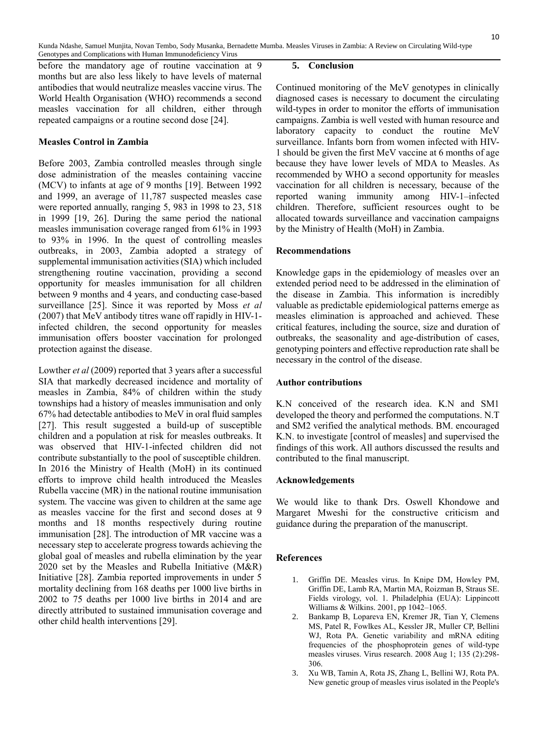before the mandatory age of routine vaccination at 9 months but are also less likely to have levels of maternal antibodies that would neutralize measles vaccine virus. The World Health Organisation (WHO) recommends a second measles vaccination for all children, either through repeated campaigns or a routine second dose [24].

### **Measles Control in Zambia**

Before 2003, Zambia controlled measles through single dose administration of the measles containing vaccine (MCV) to infants at age of 9 months [19]. Between 1992 and 1999, an average of 11,787 suspected measles case were reported annually, ranging 5, 983 in 1998 to 23, 518 in 1999 [19, 26]. During the same period the national measles immunisation coverage ranged from 61% in 1993 to 93% in 1996. In the quest of controlling measles outbreaks, in 2003, Zambia adopted a strategy of supplemental immunisation activities (SIA) which included strengthening routine vaccination, providing a second opportunity for measles immunisation for all children between 9 months and 4 years, and conducting case-based surveillance [25]. Since it was reported by Moss *et al* (2007) that MeV antibody titres wane off rapidly in HIV-1 infected children, the second opportunity for measles immunisation offers booster vaccination for prolonged protection against the disease.

Lowther *et al* (2009) reported that 3 years after a successful SIA that markedly decreased incidence and mortality of measles in Zambia, 84% of children within the study townships had a history of measles immunisation and only 67% had detectable antibodies to MeV in oral fluid samples [27]. This result suggested a build-up of susceptible children and a population at risk for measles outbreaks. It was observed that HIV-1-infected children did not contribute substantially to the pool of susceptible children. In 2016 the Ministry of Health (MoH) in its continued efforts to improve child health introduced the Measles Rubella vaccine (MR) in the national routine immunisation system. The vaccine was given to children at the same age as measles vaccine for the first and second doses at 9 months and 18 months respectively during routine immunisation [28]. The introduction of MR vaccine was a necessary step to accelerate progress towards achieving the global goal of measles and rubella elimination by the year 2020 set by the Measles and Rubella Initiative (M&R) Initiative [28]. Zambia reported improvements in under 5 mortality declining from 168 deaths per 1000 live births in 2002 to 75 deaths per 1000 live births in 2014 and are directly attributed to sustained immunisation coverage and other child health interventions [29].

#### **5. Conclusion**

Continued monitoring of the MeV genotypes in clinically diagnosed cases is necessary to document the circulating wild-types in order to monitor the efforts of immunisation campaigns. Zambia is well vested with human resource and laboratory capacity to conduct the routine MeV surveillance. Infants born from women infected with HIV-1 should be given the first MeV vaccine at 6 months of age because they have lower levels of MDA to Measles. As recommended by WHO a second opportunity for measles vaccination for all children is necessary, because of the reported waning immunity among HIV-1–infected children. Therefore, sufficient resources ought to be allocated towards surveillance and vaccination campaigns by the Ministry of Health (MoH) in Zambia.

#### **Recommendations**

Knowledge gaps in the epidemiology of measles over an extended period need to be addressed in the elimination of the disease in Zambia. This information is incredibly valuable as predictable epidemiological patterns emerge as measles elimination is approached and achieved. These critical features, including the source, size and duration of outbreaks, the seasonality and age-distribution of cases, genotyping pointers and effective reproduction rate shall be necessary in the control of the disease.

### **Author contributions**

K.N conceived of the research idea. K.N and SM1 developed the theory and performed the computations. N.T and SM2 verified the analytical methods. BM. encouraged K.N. to investigate [control of measles] and supervised the findings of this work. All authors discussed the results and contributed to the final manuscript.

### **Acknowledgements**

We would like to thank Drs. Oswell Khondowe and Margaret Mweshi for the constructive criticism and guidance during the preparation of the manuscript.

### **References**

- 1. Griffin DE. Measles virus. In Knipe DM, Howley PM, Griffin DE, Lamb RA, Martin MA, Roizman B, Straus SE. Fields virology, vol. 1. Philadelphia (EUA): Lippincott Williams & Wilkins. 2001, pp 1042–1065.
- 2. Bankamp B, Lopareva EN, Kremer JR, Tian Y, Clemens MS, Patel R, Fowlkes AL, Kessler JR, Muller CP, Bellini WJ, Rota PA. Genetic variability and mRNA editing frequencies of the phosphoprotein genes of wild-type measles viruses. Virus research. 2008 Aug 1; 135 (2):298- 306.
- 3. Xu WB, Tamin A, Rota JS, Zhang L, Bellini WJ, Rota PA. New genetic group of measles virus isolated in the People's